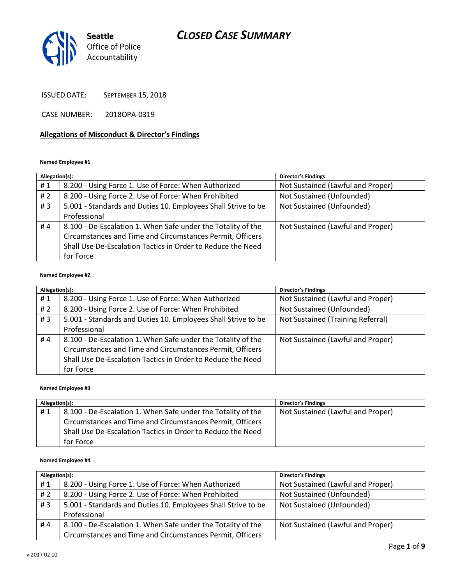

ISSUED DATE: SEPTEMBER 15, 2018

CASE NUMBER: 2018OPA-0319

## **Allegations of Misconduct & Director's Findings**

#### **Named Employee #1**

| Allegation(s): |                                                               | Director's Findings               |
|----------------|---------------------------------------------------------------|-----------------------------------|
| #1             | 8.200 - Using Force 1. Use of Force: When Authorized          | Not Sustained (Lawful and Proper) |
| #2             | 8.200 - Using Force 2. Use of Force: When Prohibited          | Not Sustained (Unfounded)         |
| #3             | 5.001 - Standards and Duties 10. Employees Shall Strive to be | Not Sustained (Unfounded)         |
|                | Professional                                                  |                                   |
| #4             | 8.100 - De-Escalation 1. When Safe under the Totality of the  | Not Sustained (Lawful and Proper) |
|                | Circumstances and Time and Circumstances Permit, Officers     |                                   |
|                | Shall Use De-Escalation Tactics in Order to Reduce the Need   |                                   |
|                | for Force                                                     |                                   |

#### **Named Employee #2**

| Allegation(s): |                                                               | Director's Findings               |
|----------------|---------------------------------------------------------------|-----------------------------------|
| #1             | 8.200 - Using Force 1. Use of Force: When Authorized          | Not Sustained (Lawful and Proper) |
| #2             | 8.200 - Using Force 2. Use of Force: When Prohibited          | Not Sustained (Unfounded)         |
| #3             | 5.001 - Standards and Duties 10. Employees Shall Strive to be | Not Sustained (Training Referral) |
|                | Professional                                                  |                                   |
| #4             | 8.100 - De-Escalation 1. When Safe under the Totality of the  | Not Sustained (Lawful and Proper) |
|                | Circumstances and Time and Circumstances Permit, Officers     |                                   |
|                | Shall Use De-Escalation Tactics in Order to Reduce the Need   |                                   |
|                | for Force                                                     |                                   |

#### **Named Employee #3**

| Allegation(s): |                                                              | <b>Director's Findings</b>        |
|----------------|--------------------------------------------------------------|-----------------------------------|
| #1             | 8.100 - De-Escalation 1. When Safe under the Totality of the | Not Sustained (Lawful and Proper) |
|                | Circumstances and Time and Circumstances Permit, Officers    |                                   |
|                | Shall Use De-Escalation Tactics in Order to Reduce the Need  |                                   |
|                | for Force                                                    |                                   |

#### **Named Employee #4**

| Allegation(s): |                                                               | <b>Director's Findings</b>        |
|----------------|---------------------------------------------------------------|-----------------------------------|
| #1             | 8.200 - Using Force 1. Use of Force: When Authorized          | Not Sustained (Lawful and Proper) |
| # 2            | 8.200 - Using Force 2. Use of Force: When Prohibited          | Not Sustained (Unfounded)         |
| #3             | 5.001 - Standards and Duties 10. Employees Shall Strive to be | Not Sustained (Unfounded)         |
|                | Professional                                                  |                                   |
| #4             | 8.100 - De-Escalation 1. When Safe under the Totality of the  | Not Sustained (Lawful and Proper) |
|                | Circumstances and Time and Circumstances Permit, Officers     |                                   |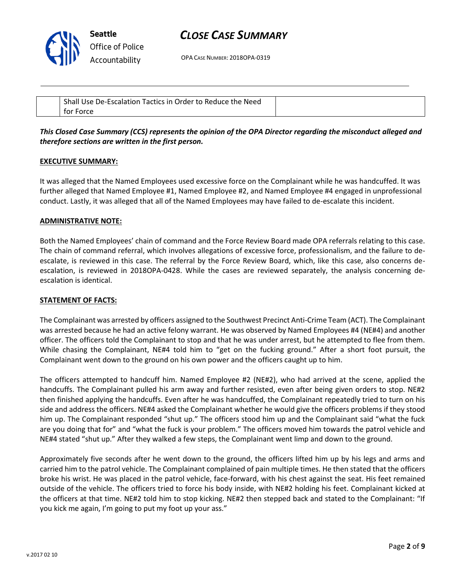

OPA CASE NUMBER: 2018OPA-0319

| Shall<br>ractics in C<br>De-Escalation<br>Order to Reduce the<br>Need<br><b>Use</b> |  |
|-------------------------------------------------------------------------------------|--|
| Force<br>tor                                                                        |  |

## *This Closed Case Summary (CCS) represents the opinion of the OPA Director regarding the misconduct alleged and therefore sections are written in the first person.*

#### **EXECUTIVE SUMMARY:**

It was alleged that the Named Employees used excessive force on the Complainant while he was handcuffed. It was further alleged that Named Employee #1, Named Employee #2, and Named Employee #4 engaged in unprofessional conduct. Lastly, it was alleged that all of the Named Employees may have failed to de-escalate this incident.

#### **ADMINISTRATIVE NOTE:**

Both the Named Employees' chain of command and the Force Review Board made OPA referrals relating to this case. The chain of command referral, which involves allegations of excessive force, professionalism, and the failure to deescalate, is reviewed in this case. The referral by the Force Review Board, which, like this case, also concerns deescalation, is reviewed in 2018OPA-0428. While the cases are reviewed separately, the analysis concerning deescalation is identical.

### **STATEMENT OF FACTS:**

The Complainant was arrested by officers assigned to the Southwest Precinct Anti-Crime Team (ACT). The Complainant was arrested because he had an active felony warrant. He was observed by Named Employees #4 (NE#4) and another officer. The officers told the Complainant to stop and that he was under arrest, but he attempted to flee from them. While chasing the Complainant, NE#4 told him to "get on the fucking ground." After a short foot pursuit, the Complainant went down to the ground on his own power and the officers caught up to him.

The officers attempted to handcuff him. Named Employee #2 (NE#2), who had arrived at the scene, applied the handcuffs. The Complainant pulled his arm away and further resisted, even after being given orders to stop. NE#2 then finished applying the handcuffs. Even after he was handcuffed, the Complainant repeatedly tried to turn on his side and address the officers. NE#4 asked the Complainant whether he would give the officers problems if they stood him up. The Complainant responded "shut up." The officers stood him up and the Complainant said "what the fuck are you doing that for" and "what the fuck is your problem." The officers moved him towards the patrol vehicle and NE#4 stated "shut up." After they walked a few steps, the Complainant went limp and down to the ground.

Approximately five seconds after he went down to the ground, the officers lifted him up by his legs and arms and carried him to the patrol vehicle. The Complainant complained of pain multiple times. He then stated that the officers broke his wrist. He was placed in the patrol vehicle, face-forward, with his chest against the seat. His feet remained outside of the vehicle. The officers tried to force his body inside, with NE#2 holding his feet. Complainant kicked at the officers at that time. NE#2 told him to stop kicking. NE#2 then stepped back and stated to the Complainant: "If you kick me again, I'm going to put my foot up your ass."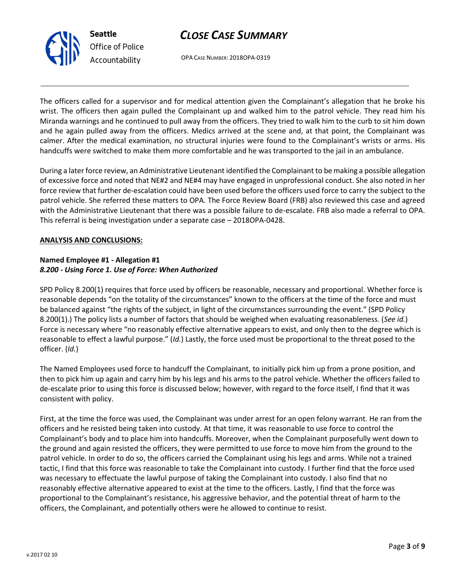



OPA CASE NUMBER: 2018OPA-0319

The officers called for a supervisor and for medical attention given the Complainant's allegation that he broke his wrist. The officers then again pulled the Complainant up and walked him to the patrol vehicle. They read him his Miranda warnings and he continued to pull away from the officers. They tried to walk him to the curb to sit him down and he again pulled away from the officers. Medics arrived at the scene and, at that point, the Complainant was calmer. After the medical examination, no structural injuries were found to the Complainant's wrists or arms. His handcuffs were switched to make them more comfortable and he was transported to the jail in an ambulance.

During a later force review, an Administrative Lieutenant identified the Complainant to be making a possible allegation of excessive force and noted that NE#2 and NE#4 may have engaged in unprofessional conduct. She also noted in her force review that further de-escalation could have been used before the officers used force to carry the subject to the patrol vehicle. She referred these matters to OPA. The Force Review Board (FRB) also reviewed this case and agreed with the Administrative Lieutenant that there was a possible failure to de-escalate. FRB also made a referral to OPA. This referral is being investigation under a separate case – 2018OPA-0428.

### **ANALYSIS AND CONCLUSIONS:**

## **Named Employee #1 - Allegation #1** *8.200 - Using Force 1. Use of Force: When Authorized*

SPD Policy 8.200(1) requires that force used by officers be reasonable, necessary and proportional. Whether force is reasonable depends "on the totality of the circumstances" known to the officers at the time of the force and must be balanced against "the rights of the subject, in light of the circumstances surrounding the event." (SPD Policy 8.200(1).) The policy lists a number of factors that should be weighed when evaluating reasonableness. (*See id.*) Force is necessary where "no reasonably effective alternative appears to exist, and only then to the degree which is reasonable to effect a lawful purpose." (*Id.*) Lastly, the force used must be proportional to the threat posed to the officer. (*Id.*)

The Named Employees used force to handcuff the Complainant, to initially pick him up from a prone position, and then to pick him up again and carry him by his legs and his arms to the patrol vehicle. Whether the officers failed to de-escalate prior to using this force is discussed below; however, with regard to the force itself, I find that it was consistent with policy.

First, at the time the force was used, the Complainant was under arrest for an open felony warrant. He ran from the officers and he resisted being taken into custody. At that time, it was reasonable to use force to control the Complainant's body and to place him into handcuffs. Moreover, when the Complainant purposefully went down to the ground and again resisted the officers, they were permitted to use force to move him from the ground to the patrol vehicle. In order to do so, the officers carried the Complainant using his legs and arms. While not a trained tactic, I find that this force was reasonable to take the Complainant into custody. I further find that the force used was necessary to effectuate the lawful purpose of taking the Complainant into custody. I also find that no reasonably effective alternative appeared to exist at the time to the officers. Lastly, I find that the force was proportional to the Complainant's resistance, his aggressive behavior, and the potential threat of harm to the officers, the Complainant, and potentially others were he allowed to continue to resist.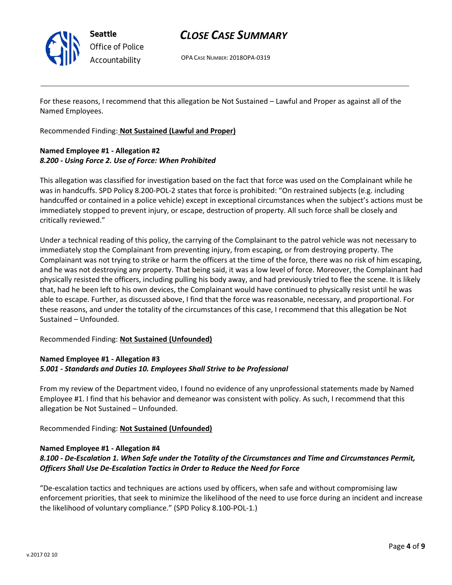

OPA CASE NUMBER: 2018OPA-0319

For these reasons, I recommend that this allegation be Not Sustained – Lawful and Proper as against all of the Named Employees.

Recommended Finding: **Not Sustained (Lawful and Proper)**

## **Named Employee #1 - Allegation #2** *8.200 - Using Force 2. Use of Force: When Prohibited*

This allegation was classified for investigation based on the fact that force was used on the Complainant while he was in handcuffs. SPD Policy 8.200-POL-2 states that force is prohibited: "On restrained subjects (e.g. including handcuffed or contained in a police vehicle) except in exceptional circumstances when the subject's actions must be immediately stopped to prevent injury, or escape, destruction of property. All such force shall be closely and critically reviewed."

Under a technical reading of this policy, the carrying of the Complainant to the patrol vehicle was not necessary to immediately stop the Complainant from preventing injury, from escaping, or from destroying property. The Complainant was not trying to strike or harm the officers at the time of the force, there was no risk of him escaping, and he was not destroying any property. That being said, it was a low level of force. Moreover, the Complainant had physically resisted the officers, including pulling his body away, and had previously tried to flee the scene. It is likely that, had he been left to his own devices, the Complainant would have continued to physically resist until he was able to escape. Further, as discussed above, I find that the force was reasonable, necessary, and proportional. For these reasons, and under the totality of the circumstances of this case, I recommend that this allegation be Not Sustained – Unfounded.

### Recommended Finding: **Not Sustained (Unfounded)**

### **Named Employee #1 - Allegation #3** *5.001 - Standards and Duties 10. Employees Shall Strive to be Professional*

From my review of the Department video, I found no evidence of any unprofessional statements made by Named Employee #1. I find that his behavior and demeanor was consistent with policy. As such, I recommend that this allegation be Not Sustained – Unfounded.

Recommended Finding: **Not Sustained (Unfounded)**

## **Named Employee #1 - Allegation #4**

## *8.100 - De-Escalation 1. When Safe under the Totality of the Circumstances and Time and Circumstances Permit, Officers Shall Use De-Escalation Tactics in Order to Reduce the Need for Force*

"De-escalation tactics and techniques are actions used by officers, when safe and without compromising law enforcement priorities, that seek to minimize the likelihood of the need to use force during an incident and increase the likelihood of voluntary compliance." (SPD Policy 8.100-POL-1.)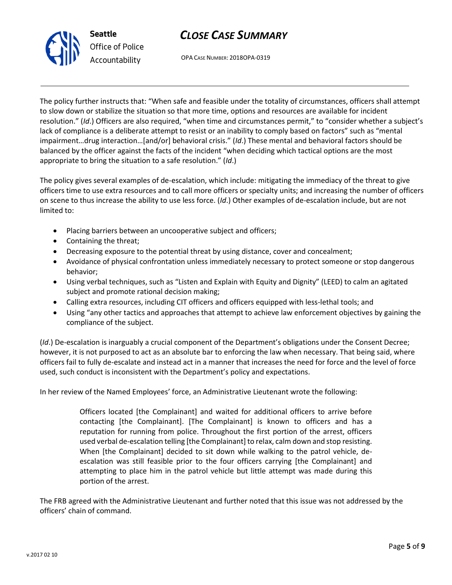

OPA CASE NUMBER: 2018OPA-0319

The policy further instructs that: "When safe and feasible under the totality of circumstances, officers shall attempt to slow down or stabilize the situation so that more time, options and resources are available for incident resolution." (*Id*.) Officers are also required, "when time and circumstances permit," to "consider whether a subject's lack of compliance is a deliberate attempt to resist or an inability to comply based on factors" such as "mental impairment…drug interaction…[and/or] behavioral crisis." (*Id*.) These mental and behavioral factors should be balanced by the officer against the facts of the incident "when deciding which tactical options are the most appropriate to bring the situation to a safe resolution." (*Id*.)

The policy gives several examples of de-escalation, which include: mitigating the immediacy of the threat to give officers time to use extra resources and to call more officers or specialty units; and increasing the number of officers on scene to thus increase the ability to use less force. (*Id*.) Other examples of de-escalation include, but are not limited to:

- Placing barriers between an uncooperative subject and officers;
- Containing the threat;
- Decreasing exposure to the potential threat by using distance, cover and concealment;
- Avoidance of physical confrontation unless immediately necessary to protect someone or stop dangerous behavior;
- Using verbal techniques, such as "Listen and Explain with Equity and Dignity" (LEED) to calm an agitated subject and promote rational decision making;
- Calling extra resources, including CIT officers and officers equipped with less-lethal tools; and
- Using "any other tactics and approaches that attempt to achieve law enforcement objectives by gaining the compliance of the subject.

(*Id*.) De-escalation is inarguably a crucial component of the Department's obligations under the Consent Decree; however, it is not purposed to act as an absolute bar to enforcing the law when necessary. That being said, where officers fail to fully de-escalate and instead act in a manner that increases the need for force and the level of force used, such conduct is inconsistent with the Department's policy and expectations.

In her review of the Named Employees' force, an Administrative Lieutenant wrote the following:

Officers located [the Complainant] and waited for additional officers to arrive before contacting [the Complainant]. [The Complainant] is known to officers and has a reputation for running from police. Throughout the first portion of the arrest, officers used verbal de-escalation telling [the Complainant] to relax, calm down and stop resisting. When [the Complainant] decided to sit down while walking to the patrol vehicle, deescalation was still feasible prior to the four officers carrying [the Complainant] and attempting to place him in the patrol vehicle but little attempt was made during this portion of the arrest.

The FRB agreed with the Administrative Lieutenant and further noted that this issue was not addressed by the officers' chain of command.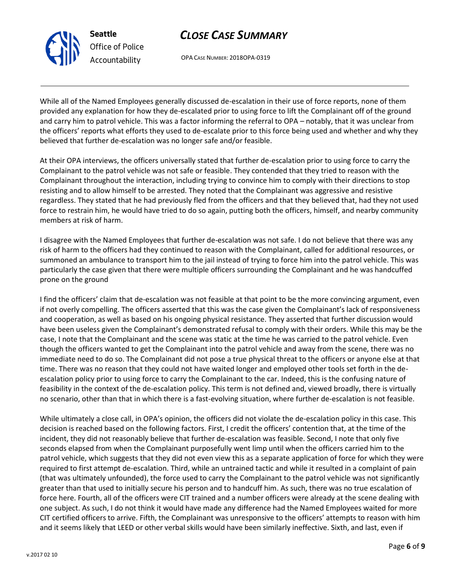**Seattle**

*Office of Police*

# *CLOSE CASE SUMMARY*

OPA CASE NUMBER: 2018OPA-0319

While all of the Named Employees generally discussed de-escalation in their use of force reports, none of them provided any explanation for how they de-escalated prior to using force to lift the Complainant off of the ground and carry him to patrol vehicle. This was a factor informing the referral to OPA – notably, that it was unclear from the officers' reports what efforts they used to de-escalate prior to this force being used and whether and why they believed that further de-escalation was no longer safe and/or feasible.

At their OPA interviews, the officers universally stated that further de-escalation prior to using force to carry the Complainant to the patrol vehicle was not safe or feasible. They contended that they tried to reason with the Complainant throughout the interaction, including trying to convince him to comply with their directions to stop resisting and to allow himself to be arrested. They noted that the Complainant was aggressive and resistive regardless. They stated that he had previously fled from the officers and that they believed that, had they not used force to restrain him, he would have tried to do so again, putting both the officers, himself, and nearby community members at risk of harm.

I disagree with the Named Employees that further de-escalation was not safe. I do not believe that there was any risk of harm to the officers had they continued to reason with the Complainant, called for additional resources, or summoned an ambulance to transport him to the jail instead of trying to force him into the patrol vehicle. This was particularly the case given that there were multiple officers surrounding the Complainant and he was handcuffed prone on the ground

I find the officers' claim that de-escalation was not feasible at that point to be the more convincing argument, even if not overly compelling. The officers asserted that this was the case given the Complainant's lack of responsiveness and cooperation, as well as based on his ongoing physical resistance. They asserted that further discussion would have been useless given the Complainant's demonstrated refusal to comply with their orders. While this may be the case, I note that the Complainant and the scene was static at the time he was carried to the patrol vehicle. Even though the officers wanted to get the Complainant into the patrol vehicle and away from the scene, there was no immediate need to do so. The Complainant did not pose a true physical threat to the officers or anyone else at that time. There was no reason that they could not have waited longer and employed other tools set forth in the deescalation policy prior to using force to carry the Complainant to the car. Indeed, this is the confusing nature of feasibility in the context of the de-escalation policy. This term is not defined and, viewed broadly, there is virtually no scenario, other than that in which there is a fast-evolving situation, where further de-escalation is not feasible.

While ultimately a close call, in OPA's opinion, the officers did not violate the de-escalation policy in this case. This decision is reached based on the following factors. First, I credit the officers' contention that, at the time of the incident, they did not reasonably believe that further de-escalation was feasible. Second, I note that only five seconds elapsed from when the Complainant purposefully went limp until when the officers carried him to the patrol vehicle, which suggests that they did not even view this as a separate application of force for which they were required to first attempt de-escalation. Third, while an untrained tactic and while it resulted in a complaint of pain (that was ultimately unfounded), the force used to carry the Complainant to the patrol vehicle was not significantly greater than that used to initially secure his person and to handcuff him. As such, there was no true escalation of force here. Fourth, all of the officers were CIT trained and a number officers were already at the scene dealing with one subject. As such, I do not think it would have made any difference had the Named Employees waited for more CIT certified officers to arrive. Fifth, the Complainant was unresponsive to the officers' attempts to reason with him and it seems likely that LEED or other verbal skills would have been similarly ineffective. Sixth, and last, even if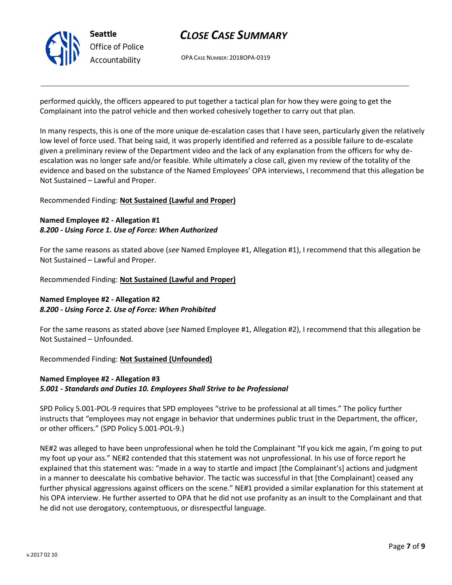

OPA CASE NUMBER: 2018OPA-0319

performed quickly, the officers appeared to put together a tactical plan for how they were going to get the Complainant into the patrol vehicle and then worked cohesively together to carry out that plan.

In many respects, this is one of the more unique de-escalation cases that I have seen, particularly given the relatively low level of force used. That being said, it was properly identified and referred as a possible failure to de-escalate given a preliminary review of the Department video and the lack of any explanation from the officers for why deescalation was no longer safe and/or feasible. While ultimately a close call, given my review of the totality of the evidence and based on the substance of the Named Employees' OPA interviews, I recommend that this allegation be Not Sustained – Lawful and Proper.

### Recommended Finding: **Not Sustained (Lawful and Proper)**

## **Named Employee #2 - Allegation #1** *8.200 - Using Force 1. Use of Force: When Authorized*

For the same reasons as stated above (*see* Named Employee #1, Allegation #1), I recommend that this allegation be Not Sustained – Lawful and Proper.

Recommended Finding: **Not Sustained (Lawful and Proper)**

## **Named Employee #2 - Allegation #2** *8.200 - Using Force 2. Use of Force: When Prohibited*

For the same reasons as stated above (*see* Named Employee #1, Allegation #2), I recommend that this allegation be Not Sustained – Unfounded.

Recommended Finding: **Not Sustained (Unfounded)**

## **Named Employee #2 - Allegation #3** *5.001 - Standards and Duties 10. Employees Shall Strive to be Professional*

SPD Policy 5.001-POL-9 requires that SPD employees "strive to be professional at all times." The policy further instructs that "employees may not engage in behavior that undermines public trust in the Department, the officer, or other officers." (SPD Policy 5.001-POL-9.)

NE#2 was alleged to have been unprofessional when he told the Complainant "If you kick me again, I'm going to put my foot up your ass." NE#2 contended that this statement was not unprofessional. In his use of force report he explained that this statement was: "made in a way to startle and impact [the Complainant's] actions and judgment in a manner to deescalate his combative behavior. The tactic was successful in that [the Complainant] ceased any further physical aggressions against officers on the scene." NE#1 provided a similar explanation for this statement at his OPA interview. He further asserted to OPA that he did not use profanity as an insult to the Complainant and that he did not use derogatory, contemptuous, or disrespectful language.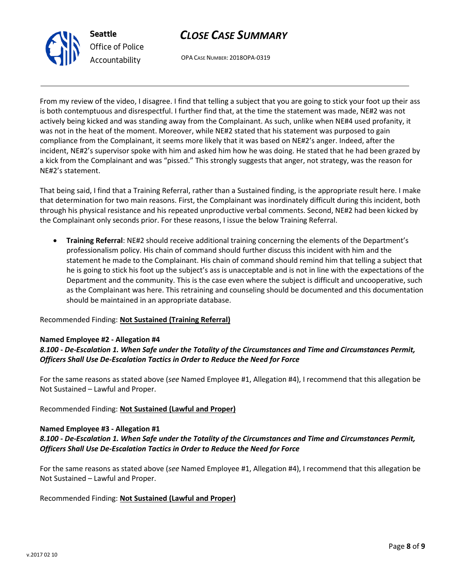



OPA CASE NUMBER: 2018OPA-0319

From my review of the video, I disagree. I find that telling a subject that you are going to stick your foot up their ass is both contemptuous and disrespectful. I further find that, at the time the statement was made, NE#2 was not actively being kicked and was standing away from the Complainant. As such, unlike when NE#4 used profanity, it was not in the heat of the moment. Moreover, while NE#2 stated that his statement was purposed to gain compliance from the Complainant, it seems more likely that it was based on NE#2's anger. Indeed, after the incident, NE#2's supervisor spoke with him and asked him how he was doing. He stated that he had been grazed by a kick from the Complainant and was "pissed." This strongly suggests that anger, not strategy, was the reason for NE#2's statement.

That being said, I find that a Training Referral, rather than a Sustained finding, is the appropriate result here. I make that determination for two main reasons. First, the Complainant was inordinately difficult during this incident, both through his physical resistance and his repeated unproductive verbal comments. Second, NE#2 had been kicked by the Complainant only seconds prior. For these reasons, I issue the below Training Referral.

• **Training Referral**: NE#2 should receive additional training concerning the elements of the Department's professionalism policy. His chain of command should further discuss this incident with him and the statement he made to the Complainant. His chain of command should remind him that telling a subject that he is going to stick his foot up the subject's ass is unacceptable and is not in line with the expectations of the Department and the community. This is the case even where the subject is difficult and uncooperative, such as the Complainant was here. This retraining and counseling should be documented and this documentation should be maintained in an appropriate database.

### Recommended Finding: **Not Sustained (Training Referral)**

### **Named Employee #2 - Allegation #4**

## *8.100 - De-Escalation 1. When Safe under the Totality of the Circumstances and Time and Circumstances Permit, Officers Shall Use De-Escalation Tactics in Order to Reduce the Need for Force*

For the same reasons as stated above (*see* Named Employee #1, Allegation #4), I recommend that this allegation be Not Sustained – Lawful and Proper.

### Recommended Finding: **Not Sustained (Lawful and Proper)**

#### **Named Employee #3 - Allegation #1**

## *8.100 - De-Escalation 1. When Safe under the Totality of the Circumstances and Time and Circumstances Permit, Officers Shall Use De-Escalation Tactics in Order to Reduce the Need for Force*

For the same reasons as stated above (*see* Named Employee #1, Allegation #4), I recommend that this allegation be Not Sustained – Lawful and Proper.

Recommended Finding: **Not Sustained (Lawful and Proper)**